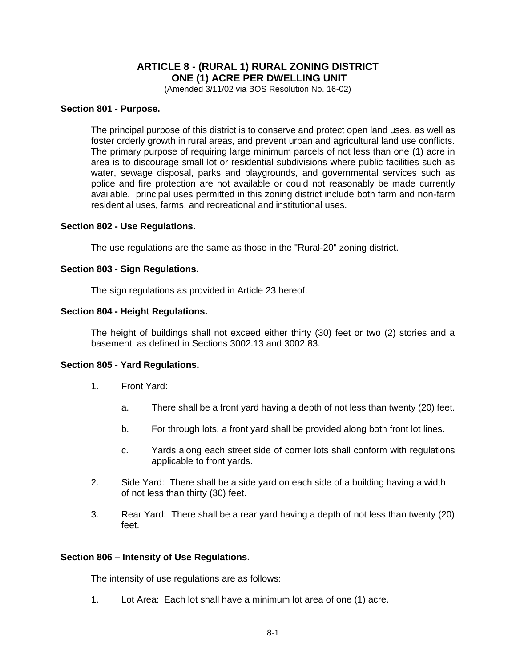# **ARTICLE 8 - (RURAL 1) RURAL ZONING DISTRICT ONE (1) ACRE PER DWELLING UNIT**

(Amended 3/11/02 via BOS Resolution No. 16-02)

## **Section 801 - Purpose.**

The principal purpose of this district is to conserve and protect open land uses, as well as foster orderly growth in rural areas, and prevent urban and agricultural land use conflicts. The primary purpose of requiring large minimum parcels of not less than one (1) acre in area is to discourage small lot or residential subdivisions where public facilities such as water, sewage disposal, parks and playgrounds, and governmental services such as police and fire protection are not available or could not reasonably be made currently available. principal uses permitted in this zoning district include both farm and non-farm residential uses, farms, and recreational and institutional uses.

#### **Section 802 - Use Regulations.**

The use regulations are the same as those in the "Rural-20" zoning district.

## **Section 803 - Sign Regulations.**

The sign regulations as provided in Article 23 hereof.

#### **Section 804 - Height Regulations.**

The height of buildings shall not exceed either thirty (30) feet or two (2) stories and a basement, as defined in Sections 3002.13 and 3002.83.

## **Section 805 - Yard Regulations.**

- 1. Front Yard:
	- a. There shall be a front yard having a depth of not less than twenty (20) feet.
	- b. For through lots, a front yard shall be provided along both front lot lines.
	- c. Yards along each street side of corner lots shall conform with regulations applicable to front yards.
- 2. Side Yard: There shall be a side yard on each side of a building having a width of not less than thirty (30) feet.
- 3. Rear Yard: There shall be a rear yard having a depth of not less than twenty (20) feet.

## **Section 806 – Intensity of Use Regulations.**

The intensity of use regulations are as follows:

1. Lot Area: Each lot shall have a minimum lot area of one (1) acre.